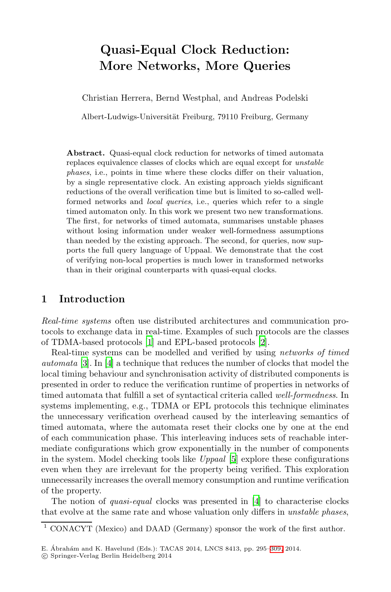# **Quasi-Equal Clock Reduction: More Networks, More Queries**

Christian Herrera, Bernd Westphal, and Andreas Podelski

Albert-Ludwigs-Universität Freiburg, 79110 Freiburg, Germany

**Abstract.** Quasi-equal clock reduction for networks of timed automata replaces equivalence classes of clocks which are equal except for *unstable phases*, i.e., points in time where these clocks differ on their valuation, by a single representative clock. An existing approach yields significant reductions of the overall verification time but is limited to so-called wellformed networks and *local queries*, i.e., queries which refer to a single timed automaton only. In this work we present two new transformations. The first, for networks of timed automata, summarises unstable phases without losing information under weaker well-formedness assumptions than needed by the existing approach. The second, for queries, now supports the full query language of Uppaal. We demonstrate that the cost of [ve](#page-13-0)rifying non-local properties is [m](#page-13-1)uch lower in transformed networks than in their original counterparts with quasi-equal clocks.

# **1 Introduction**

*Real-time systems* often use distributed architectures and communication protocols to exchange data in real-time. Examples of such protocols are the classes of TDMA-based protocols [1] and EPL-based protocols [2].

Real-time systems can be modelled and verified by using *networks of timed automata* [3]. In [4] a technique that reduces the number of clocks that model the local timing behaviour and syn[ch](#page-14-0)ronisation activity of distributed components is presented in order to reduce the verification runtime of properties in networks of timed automata that fulfill a set of syntactical criteria called *well-formedness*. In systems implementing, e.g., TDMA or EPL protocols this technique eliminates the unnecessary verification overhea[d](#page-14-1) caused by the interleaving semantics of timed automata, where the automata reset their clocks one by one at the end of each communication phase. This interleaving induces sets of reachable intermediate configurations which grow exponentially in the number of components in the system. Model checking tools like *Uppaal* [5] explore these configurations even when they are irrelevant for the pr[oper](#page-14-2)ty being verified. This exploration unnecessarily increases the overall memory consumption and runtime verification of the property.

The notion of *quasi-equal* clocks was presented in [4] to characterise clocks that evolve at the same rate and whose valuation only differs in *unstable phases*,

 $^{-1}$  CONACYT (Mexico) and DAAD (Germany) sponsor the work of the first author.

E. Ábrahám and K. Havelund (Eds.): TACAS 2014, LNCS 8413, pp. 295-309, 2014.

<sup>-</sup>c Springer-Verlag Berlin Heidelberg 2014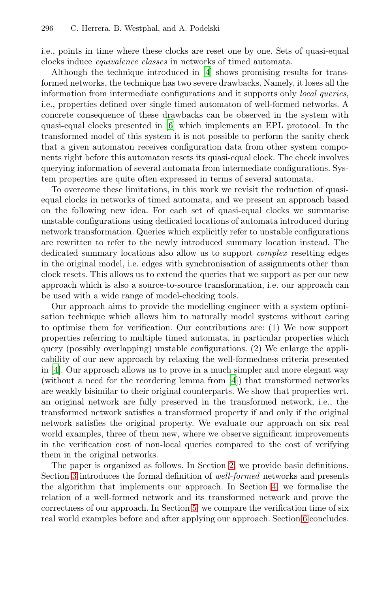i.e., points in [tim](#page-14-3)e where these clocks are reset one by one. Sets of quasi-equal clocks induce *equivalence classes* in networks of timed automata.

Although the technique introduced in [4] shows promising results for transformed networks, the technique has two severe drawbacks. Namely, it loses all the information from intermediate configurations and it supports only *local queries*, i.e., properties defined over single timed automaton of well-formed networks. A concrete consequence of these drawbacks can be observed in the system with quasi-equal clocks presented in [6] which implements an EPL protocol. In the transformed model of this system it is not possible to perform the sanity check that a given automaton receives configuration data from other system components right before this automaton resets its quasi-equal clock. The check involves querying information of several automata from intermediate configurations. System properties are quite often expressed in terms of several automata.

To overcome these limitations, in this work we revisit the reduction of quasiequal clocks in networks of timed automata, and we present an approach based on the following new idea. For each set of quasi-equal clocks we summarise unstable configurations using dedicated locations of automata introduced during network transformation. Queries which explicitly refer to unstable configurations are rewritten to refer to the newly introduced summary location instead. The dedicated summary locations also allow us to support *complex* resetting edges in the original model, i.e. edges with synchronisation of assignments other than clock resets. This allows us to extend the queries that we support as per our new approach which is also a source-to-source transformation, i.e. our approach can be used with a wide range of [mo](#page-14-1)del-checking tools.

Our approach aims to provide the modelling engineer with a system optimisation technique which allows him to naturally model systems without caring to optimise them for verification. Our contributions are: (1) We now support properties referring to multiple timed automata, in particular properties which query (possibly overlapping) unstable configurations. (2) We enlarge the applicability of our new approach by relaxing the well-formedness criteria presented in [4]. Our approach allows us to prove in a much simpler and more elegant way (without a need for the reord[eri](#page-2-0)ng lemma from [4]) that transformed networks are weakly bisimilar to their original counterparts. We show that properties wrt. an original network are fully preserved [in](#page-9-0) the transformed network, i.e., the transformed network satisfies a transformed property if and only if the original network satisfies th[e o](#page-12-0)riginal property. We evaluate our approach on six real world examples, three of them new, where we ob[ser](#page-13-2)ve significant improvements in the verification cost of non-local queries compared to the cost of verifying them in the original networks.

The paper is organized as follows. In Section 2, we provide basic definitions. Section 3 introduces the formal definition of *well-formed* networks and presents the algorithm that implements our approach. In Section 4, we formalise the relation of a well-formed network and its transformed network and prove the correctness of our approach. In Section 5, we compare the verification time of six real world examples before and after applying our approach. Section 6 concludes.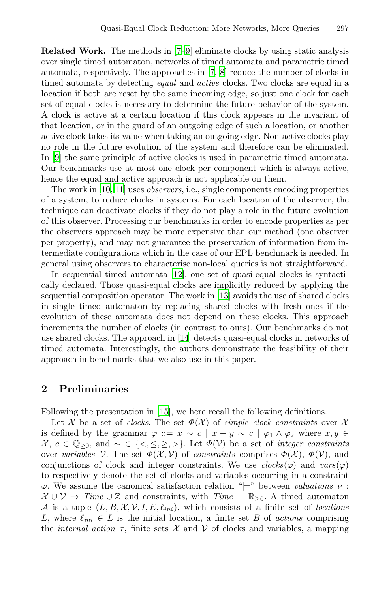**Related Work.** The methods in [7–9] eliminate clocks by using static analysis over single timed automaton, networks of timed automata and parametric timed automata, respectively. The approaches in [7, 8] reduce the number of clocks in timed automata by detecting *equal* and *active* clocks. Two clocks are equal in a location if both are reset by the same incoming edge, so just one clock for each [set](#page-14-4) of equal clocks is necessary to determine the future behavior of the system. A clock is active at a certain location if this clock appears in the invariant of that location, or in the guard of an outgoing edge of such a location, or another active clock takes its value when taking an outgoing edge. Non-active clocks play no role in the future evolution of the system and therefore can be eliminated. In [9] the same principle of active clocks is used in parametric timed automata. Our benchmarks use at most one clock per component which is always active, hence the equal and active approach is not applicable on them.

<span id="page-2-0"></span>The work in [[10,](#page-14-5) 11] uses *observers*, i.e., single components encoding properties of a system, to reduce clocks in systems. For each location of the observer, the technique can deactivate clo[cks](#page-14-6) if they do not play a role in the future evolution of this observer. Processing our benchmarks in order to encode properties as per the observers approach may be more expensive than our method (one observer per property), and may not guarantee the preservation of information from intermediate config[ura](#page-14-7)tions which in the case of our EPL benchmark is needed. In general using observers to characterise non-local queries is not straightforward.

In sequential timed automata [12], one set of quasi-equal clocks is syntactically declared. Those quasi-equal clocks are implicitly reduced by applying the sequential composition operator. The work in [13] avoids the use of shared clocks in single timed automaton by replacing shared clocks with fresh ones if the evolution of these automata does not depend on these clocks. This approach increments [the](#page-14-8) number of clocks (in contrast to ours). Our benchmarks do not use shared clocks. The approach in [14] detects quasi-equal clocks in networks of timed automata. Interestingly, the authors demonstrate the feasibility of their approach in benchmarks that we also use in this paper.

## **2 Preliminaries**

Following the presentation in [15], we here recall the following definitions.

Let X be a set of *clocks*. The set  $\Phi(\mathcal{X})$  of *simple clock constraints* over X is defined by the grammar  $\varphi ::= x \sim c \mid x - y \sim c \mid \varphi_1 \wedge \varphi_2$  where  $x, y \in$ <sup>X</sup>, <sup>c</sup> <sup>∈</sup> <sup>Q</sup>≥<sup>0</sup>, and ∼∈{<, <sup>≤</sup>, <sup>≥</sup>, >}. Let <sup>Φ</sup>(V) be a set of *integer constraints* over *variables* V. The set  $\Phi(\mathcal{X}, V)$  of *constraints* comprises  $\Phi(\mathcal{X}), \Phi(V)$ , and conjunctions of clock and integer constraints. We use  $clocks(\varphi)$  and  $vars(\varphi)$ to respectively denote the set of clocks and variables occurring in a constraint  $\varphi$ . We assume the canonical satisfaction relation " $\models$ " between *valuations*  $\nu$ :  $\mathcal{X} \cup \mathcal{V} \rightarrow$  *Time*  $\cup \mathbb{Z}$  and constraints, with *Time* =  $\mathbb{R}_{\geq 0}$ . A timed automaton A is a tuple  $(L, B, \mathcal{X}, \mathcal{V}, I, E, \ell_{ini})$ , which consists of a finite set of *locations* L, where  $\ell_{ini}$  ∈ L is the initial location, a finite set B of *actions* comprising the *internal action*  $\tau$ , finite sets  $\mathcal X$  and  $\mathcal V$  of clocks and variables, a mapping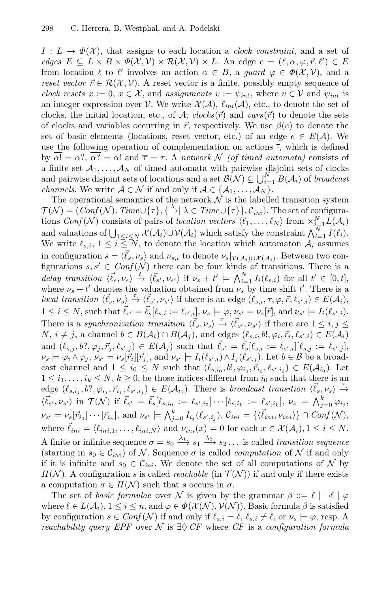$I: L \to \Phi(\mathcal{X})$ , that assigns to each location a *clock constraint*, and a set of  $edges \ E \subseteq L \times B \times \Phi(\mathcal{X}, \mathcal{V}) \times \mathcal{R}(\mathcal{X}, \mathcal{V}) \times L$ . An edge  $e = (\ell, \alpha, \varphi, \vec{r}, \ell') \in E$ from location  $\ell$  to  $\ell'$  involves an action  $\alpha \in B$ , a *guard*  $\varphi \in \Phi(\mathcal{X}, \mathcal{V})$ , and a *reset vector*  $\vec{r} \in \mathcal{R}(\mathcal{X}, \mathcal{V})$ . A reset vector is a finite, possibly empty sequence of *clock resets*  $x := 0, x \in \mathcal{X}$ , and *assignments*  $v := \psi_{int}$ , where  $v \in \mathcal{V}$  and  $\psi_{int}$  is an integer expression over V. We write  $\mathcal{X}(\mathcal{A})$ ,  $\ell_{ini}(\mathcal{A})$ , etc., to denote the set of clocks, the initial location, etc., of  $\mathcal{A}$ ; *clocks*( $\vec{r}$ ) and *vars*( $\vec{r}$ ) to denote the sets of clocks and variables occurring in  $\vec{r}$ , respectively. We use  $\beta(e)$  to denote the set of basic elements (locations, reset vector, etc.) of an edge  $e \in E(\mathcal{A})$ . We use the following operation of complementation on actions ·, which is defined by  $\overline{\alpha!} = \alpha?$ ,  $\overline{\alpha?} = \alpha!$  and  $\overline{\tau} = \tau$ . A *network* N *(of timed automata)* consists of a finite set  $A_1, \ldots, A_N$  of timed automata with pairwise disjoint sets of clocks and pairwise disjoint sets of locations and a set  $\mathcal{B}(\mathcal{N}) \subseteq \bigcup_{i=1}^{N} B(\mathcal{A}_i)$  of *broadcast channels*. We write  $A \in \mathcal{N}$  if and only if  $A \in \{A_1, \ldots, A_N\}$ .

The operational semantics of the network  $\mathcal N$  is the labelled transition system  $\mathcal{T}(\mathcal{N}) = (Conf(\mathcal{N}), Time \cup \{\tau\}, \{\frac{\lambda}{\gamma} | \lambda \in Time \cup \{\tau\}\}, C_{ini})$ . The set of configurations *Conf* (N) consists of pairs of *location vectors*  $\langle \ell_1, \ldots, \ell_N \rangle$  from  $\times_{\substack{i=1 \ n \ n}}^N L(\mathcal{A}_i)$ and valuations of  $\bigcup_{1 \leq i \leq N} \mathcal{X}(\mathcal{A}_i) \cup \mathcal{V}(\mathcal{A}_i)$  which satisfy the constraint  $\bigwedge_{i=1}^N I(\ell_i)$ . We write  $\ell_{s,i}$ ,  $1 \leq i \leq N$ , to denote the location which automaton  $\mathcal{A}_i$  assumes in configuration  $s = \langle \vec{l}_s, \nu_s \rangle$  and  $\nu_{s,i}$  to denote  $\nu_s|_{\mathcal{V}(\mathcal{A}_i) \cup \mathcal{X}(\mathcal{A}_i)}$ . Between two configurations  $s, s' \in Conf(\mathcal{N})$  there can be four kinds of transitions. There is a delay transition  $\langle \vec{\ell}_s, \nu_s \rangle \stackrel{t}{\rightarrow} \langle \vec{\ell}_{s'}, \nu_{s'} \rangle$  if  $\nu_s + t' \models \bigwedge_{i=1}^N I_i(\ell_{s,i})$  for all  $t' \in [0, t]$ , where  $\nu_s + t'$  denotes the valuation obtained from  $\nu_s$  by time shift t'. There is a *local transition*  $\langle \vec{\ell}_s, \nu_s \rangle \rightarrow \langle \vec{\ell}_s', \nu_{s'} \rangle$  if there is an edge  $(\ell_{s,i}, \tau, \varphi, \vec{r}, \ell_{s',i}) \in E(\mathcal{A}_i)$ ,  $1 \leq i \leq N$ , such that  $\vec{\ell}_{s'} = \vec{\ell}_s[\ell_{s,i} := \ell_{s',i}], \nu_s \models \varphi, \nu_{s'} = \nu_s[\vec{r}],$  and  $\nu_{s'} \models I_i(\ell_{s',i}).$ There is a *synchronization transition*  $\langle \vec{\ell_s}, \nu_s \rangle \stackrel{\tau}{\rightarrow} \langle \vec{\ell_{s'}}, \nu_{s'} \rangle$  if there are  $1 \leq i, j \leq$  $N, i \neq j$ , a channel  $b \in B(\mathcal{A}_i) \cap B(\mathcal{A}_j)$ , and edges  $(\ell_{s,i}, b!, \varphi_i, \vec{r}_i, \ell_{s',i}) \in E(\mathcal{A}_i)$ and  $(\ell_{s,j}, b?, \varphi_j, \vec{r}_j, \ell_{s',j}) \in E(\mathcal{A}_j)$  such that  $\vec{\ell}_{s'} = \vec{\ell}_s[\ell_{s,i} := \ell_{s',i}][\ell_{s,j} := \ell_{s',j}],$  $\nu_s \models \varphi_i \wedge \varphi_j, \nu_{s'} = \nu_s[\vec{r}_i][\vec{r}_j],$  and  $\nu_{s'} \models I_i(\ell_{s',i}) \wedge I_j(\ell_{s',j}).$  Let  $b \in \mathcal{B}$  be a broadcast channel and  $1 \leq i_0 \leq N$  such that  $(\ell_{s,i_0}, b!, \varphi_{i_0}, \vec{r}_{i_0}, \ell_{s',i_0}) \in E(\mathcal{A}_{i_0})$ . Let  $1 \leq i_1, \ldots, i_k \leq N, k \geq 0$ , be those indices different from  $i_0$  such that there is an edge  $(\ell_{s,i_j}, b$ ?,  $\varphi_{i_j}, \vec{r}_{i_j}, \ell_{s',i_j}) \in E(\mathcal{A}_{i_j})$ . There is *broadcast transition*  $\langle \vec{\ell}_s, \nu_s \rangle \stackrel{\tau}{\rightarrow}$  $\langle \vec{\ell}_{s'}, \nu_{s'} \rangle$  in  $\mathcal{T}(\mathcal{N})$  if  $\vec{\ell}_{s'} = \vec{\ell}_{s}[\ell_{s,i_0} := \ell_{s',i_0}] \cdots [\ell_{s,i_k} := \ell_{s',i_k}], \nu_s \models \bigwedge_{j=0}^k \varphi_{i_j}$  $\nu_{s'} = \nu_s[\vec{r}_{i_0}] \cdots [\vec{r}_{i_k}],$  and  $\nu_{s'} \models \bigwedge_{j=0}^k I_{i_j}(\ell_{s',i_j})$ .  $\mathcal{C}_{ini} = \{\langle \vec{\ell}_{ini}, \nu_{ini} \rangle\} \cap Conf(N),$ where  $\vec{\ell}_{ini} = \langle \ell_{ini,1}, \ldots, \ell_{ini,N} \rangle$  and  $\nu_{ini}(x) = 0$  for each  $x \in \mathcal{X}(\mathcal{A}_i), 1 \leq i \leq N$ . A finite or infinite sequence  $\sigma = s_0 \xrightarrow{\lambda_1} s_1 \xrightarrow{\lambda_2} s_2 \dots$  is called *transition sequence* (starting in  $s_0 \in \mathcal{C}_{ini}$ ) of N. Sequence  $\sigma$  is called *computation* of N if and only if it is infinite and  $s_0 \in \mathcal{C}_{ini}$ . We denote the set of all computations of N by  $\Pi(\mathcal{N})$ . A configuration s is called *reachable* (in  $\mathcal{T}(\mathcal{N})$ ) if and only if there exists a computation  $\sigma \in \Pi(\mathcal{N})$  such that s occurs in  $\sigma$ .

The set of *basic formulae* over N is given by the grammar  $\beta ::= \ell \mid \neg \ell \mid \varphi$ where  $\ell \in L(\mathcal{A}_i), 1 \leq i \leq n$ , and  $\varphi \in \Phi(\mathcal{X}(\mathcal{N}), \mathcal{V}(\mathcal{N}))$ . Basic formula  $\beta$  is satisfied by configuration  $s \in Conf(\mathcal{N})$  if and only if  $\ell_{s,i} = \ell, \ell_{s,i} \neq \ell$ , or  $\nu_s \models \varphi$ , resp. A *reachability query EPF* over  $\mathcal N$  is  $\exists \Diamond C F$  where  $CF$  is a *configuration formula*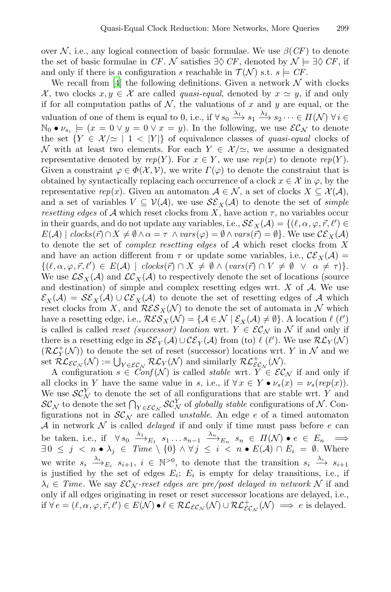over N, i.e., any logical connection of basic formulae. We use  $\beta(CF)$  to denote the set of basic formulae in *CF*.  $N$  satisfies  $\exists \Diamond C F$ , denoted by  $N \models \exists \Diamond C F$ , if and only if there is a configuration s reachable in  $\mathcal{T}(\mathcal{N})$  s.t.  $s \models \mathit{CF}$ .

We recall from [4] the following definitions. Given a network  $\mathcal N$  with clocks X, two clocks x, y ∈ X are called *quasi-equal*, denoted by  $x ≈ y$ , if and only if for all computation paths of  $N$ , the valuations of x and y are equal, or the valuation of one of them is equal to 0, i.e., if  $\forall s_0 \stackrel{\lambda_1}{\longrightarrow} s_1 \stackrel{\lambda_2}{\longrightarrow} s_2 \cdots \in \Pi(\mathcal{N}) \ \forall i \in \mathbb{N}$  $\mathbb{N}_0 \bullet \nu_{s_i} \models (x = 0 \vee y = 0 \vee x = y)$ . In the following, we use  $\mathcal{EC}_\mathcal{N}$  to denote the set  ${Y \in \mathcal{X}/\simeq |1 \lt |Y|}$  of equivalence classes of *quasi-equal* clocks of N with at least two elements. For each  $Y \in \mathcal{X}/\simeq$ , we assume a designated representative denoted by  $rep(Y)$ . For  $x \in Y$ , we use  $rep(x)$  to denote  $rep(Y)$ . Given a constraint  $\varphi \in \Phi(\mathcal{X}, \mathcal{V})$ , we write  $\Gamma(\varphi)$  to denote the constraint that is obtained by syntactically replacing each occurrence of a clock  $x \in \mathcal{X}$  in  $\varphi$ , by the representative *rep*(x). Given an automaton  $A \in \mathcal{N}$ , a set of clocks  $X \subseteq \mathcal{X}(\mathcal{A})$ , and a set of variables  $V \subseteq V(\mathcal{A})$ , we use  $\mathcal{SE}_X(\mathcal{A})$  to denote the set of *simple resetting edges* of  $A$  which reset clocks from  $X$ , have action  $\tau$ , no variables occur in their guards, and do not update any variables, i.e.,  $\mathcal{SE}_X(\mathcal{A}) = \{(\ell, \alpha, \varphi, \vec{r}, \ell') \in$  $E(\mathcal{A}) \mid \text{clocks}(\vec{r}) \cap X \neq \emptyset \land \alpha = \tau \land \text{vars}(\varphi) = \emptyset \land \text{vars}(\vec{r}) = \emptyset$ . We use  $\mathcal{CE}_X(\mathcal{A})$ to denote the set of *complex resetting edges* of <sup>A</sup> which reset clocks from <sup>X</sup> and have an action different from  $\tau$  or update some variables, i.e.,  $\mathcal{CE}_Y(\mathcal{A}) =$  $\{(\ell, \alpha, \varphi, \vec{r}, \ell') \in E(\mathcal{A}) \mid \text{clocks}(\vec{r}) \cap X \neq \emptyset \land (\text{vars}(\vec{r}) \cap V \neq \emptyset \lor \alpha \neq \tau)\}.$ We use  $\mathcal{LS}_{X}(\mathcal{A})$  and  $\mathcal{LC}_{X}(\mathcal{A})$  to respectively denote the set of locations (source and destination) of simple and complex resetting edges wrt.  $X$  of  $A$ . We use  $\mathcal{E}_X(\mathcal{A}) = \mathcal{S}\mathcal{E}_X(\mathcal{A}) \cup \mathcal{C}\mathcal{E}_X(\mathcal{A})$  to denote the set of resetting edges of A which reset clocks from X, and  $\mathcal{RES}_X(\mathcal{N})$  to denote the set of automata in N which have a resetting edge, i.e.,  $\mathcal{RES}_{X}(\mathcal{N}) = \{ \mathcal{A} \in \mathcal{N} \mid \mathcal{E}_{X}(\mathcal{A}) \neq \emptyset \}$ . A location  $\ell(\ell')$ is called is called *reset (successor) location* wrt.  $Y \in \mathcal{EC}_\mathcal{N}$  in  $\mathcal{N}$  if and only if there is a resetting edge in  $\mathcal{SE}_Y(\mathcal{A}) \cup \mathcal{CE}_Y(\mathcal{A})$  from (to)  $\ell$  ( $\ell'$ ). We use  $\mathcal{RL}_Y(\mathcal{N})$  $(\mathcal{RL}_{Y}^{+}(\mathcal{N}))$  to denote the set of reset (successor) locations wrt. Y in N and we set  $RL_{EC_{\mathcal{N}}}(\mathcal{N}) := \bigcup_{Y \in \mathcal{EC}_{\mathcal{N}}} RL_Y(\mathcal{N})$  and similarly  $RL_{EC_{\mathcal{N}}}^+(\mathcal{N})$ .

A configuration  $s \in \mathcal{C}$ *onf* (N) is called *stable* wrt.  $Y \in \mathcal{EC}_\mathcal{N}$  if and only if all clocks in Y have the same value in s, i.e., if  $\forall x \in Y \bullet \nu_s(x) = \nu_s(rep(x)).$ We use  $\mathcal{SC}_{N}^{Y}$  to denote the set of all configurations that are stable wrt. Y and  $SC_N$  to denote the set  $\bigcap_{Y \in \mathcal{EC}_N} SC_N^Y$  of *globally stable* configurations of N. Configurations not in  $SC_N$  are called *unstable*. An edge e of a timed automaton A in network  $N$  is called *delayed* if and only if time must pass before  $e$  can be taken, i.e., if  $\forall s_0 \xrightarrow{\lambda_1} E_1 \ s_1 \dots s_{n-1} \xrightarrow{\lambda_n} E_n \ s_n \in \Pi(\mathcal{N}) \bullet e \in E_n \implies$  $\exists 0 \leq j \leq n \bullet \lambda_j \in \mathit{Time} \setminus \{0\} \land \forall j \leq i \leq n \bullet E(\mathcal{A}) \cap E_i = \emptyset.$  Where we write  $s_i \xrightarrow{\lambda_i} E_i$   $s_{i+1}, i \in \mathbb{N}^{>0}$ , to denote that the transition  $s_i \xrightarrow{\lambda_i} s_{i+1}$ is justified by the set of edges  $E_i$ ;  $E_i$  is empty for delay transitions, i.e., if  $\lambda_i \in \text{Time}$ . We say  $\mathcal{EC}_\mathcal{N}$ -reset edges are pre/post delayed in network N if and only if all edges originating in reset or reset successor locations are delayed, i.e., if  $\forall e = (\ell, \alpha, \varphi, \vec{r}, \ell') \in E(\mathcal{N}) \bullet \ell \in \mathcal{RL}_{\mathcal{EC}_\mathcal{N}}(\mathcal{N}) \cup \mathcal{RL}_{\mathcal{EC}_\mathcal{N}}^+(\mathcal{N}) \implies e$  is delayed.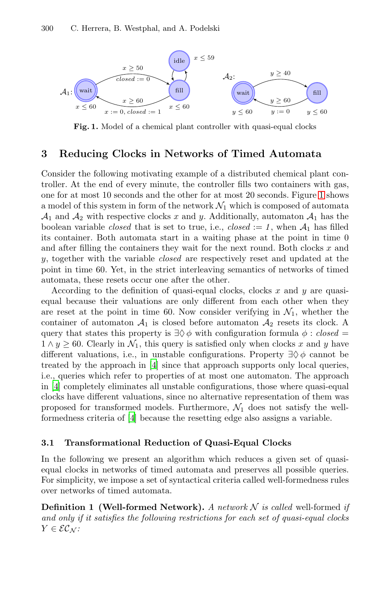<span id="page-5-0"></span>

**Fig. 1.** Model of a chemical plant controller with quasi-equal clocks

# **3 Reducing Clocks in Networks of Timed Automata**

Consider the following motivating example of a distributed chemical plant controller. At the end of every minute, the controller fills two containers with gas, one for at most 10 seconds and the other for at most 20 seconds. Figure 1 shows a model of this system in form of the network  $\mathcal{N}_1$  which is composed of automata  $\mathcal{A}_1$  and  $\mathcal{A}_2$  with respective clocks x and y. Additionally, automaton  $\mathcal{A}_1$  has the boolean variable *closed* that is set to true, i.e., *closed* := 1, when  $A_1$  has filled its container. Both automata start in a waiting phase at the point in time 0 and after filling the containers they wait for the next round. Both clocks  $x$  and y, together with the variable *closed* are respectively reset and updated at the point in time 60. Yet, in the strict interleaving semantics of networks of timed automata, [th](#page-14-1)ese resets occur one after the other.

According to the definition of quasi-equal clocks, clocks  $x$  and  $y$  are quasiequal because their valuations are only different from each other when they are reset at the point in time 60. Now consider verifying in  $\mathcal{N}_1$ , whether the container of automaton  $A_1$  is closed before automaton  $A_2$  resets its clock. A quer[y](#page-14-1) that states this property is  $\exists \Diamond \phi$  with configuration formula  $\phi$  : *closed* =  $1 \wedge y \ge 60$ . Clearly in  $\mathcal{N}_1$ , this query is satisfied only when clocks x and y have different valuations, i.e., in unstable configurations. Property  $\exists \Diamond \phi$  cannot be treated by the approach in [4] since that approach supports only local queries, i.e., queries which refer to properties of at most one automaton. The approach in [4] completely eliminates all unstable configurations, those where quasi-equal clocks have different valuations, since no alternative representation of them was proposed for transformed models. Furthermore,  $\mathcal{N}_1$  does not satisfy the wellformedness criteria of [4] because the resetting edge also assigns a variable.

### **3.1 Transformational Reduction of Quasi-Equal Clocks**

In the following we present an algorithm which reduces a given set of quasiequal clocks in networks of timed automata and preserves all possible queries. For simplicity, we impose a set of syntactical criteria called well-formedness rules over networks of timed automata.

**Definition 1 (Well-formed Network).** *A network* N *is called* well-formed *if and only if it satisfies the following restrictions for each set of quasi-equal clocks*  $Y \in \mathcal{EC}_\mathcal{N}$ *:*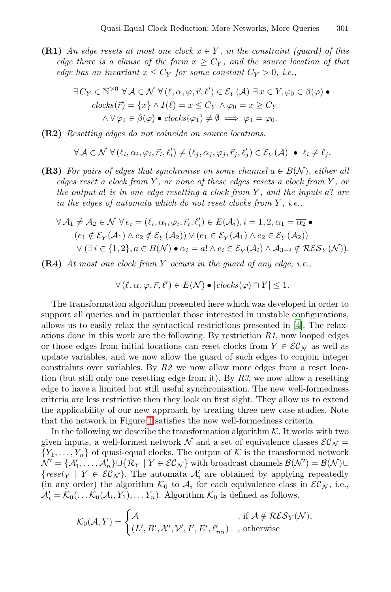**(R1)** *An edge resets at most one clock*  $x \in Y$ *, in the constraint (guard) of this edge there is a clause of the form*  $x \geq C_Y$ *, and the source location of that edge has an invariant*  $x \leq C_Y$  *for some constant*  $C_Y > 0$ *, i.e.,* 

$$
\exists C_Y \in \mathbb{N}^{>0} \,\forall \mathcal{A} \in \mathcal{N} \,\forall (\ell, \alpha, \varphi, \vec{r}, \ell') \in \mathcal{E}_Y(\mathcal{A}) \,\exists x \in Y, \varphi_0 \in \beta(\varphi) \,\bullet
$$
  
\n
$$
clocks(\vec{r}) = \{x\} \wedge I(\ell) = x \le C_Y \wedge \varphi_0 = x \ge C_Y
$$
  
\n
$$
\wedge \forall \varphi_1 \in \beta(\varphi) \bullet clocks(\varphi_1) \neq \emptyset \implies \varphi_1 = \varphi_0.
$$

**(R2)** *Resetting edges do not coincide on source locations.*

$$
\forall\, \mathcal{A}\in\mathcal{N}\,\, \forall\, (\ell_i,\alpha_i,\varphi_i,\vec{r}_i,\ell'_i)\neq (\ell_j,\alpha_j,\varphi_j,\vec{r}_j,\ell'_j)\in\mathcal{E}_Y(\mathcal{A})\,\,\bullet\,\,\ell_i\neq \ell_j.
$$

**(R3)** For pairs of edges that synchronise on some channel  $a \in B(\mathcal{N})$ , either all *edges reset a clock from* Y *, or none of these edges resets a clock from* Y *, or the output* a! *is in one edge resetting a clock from* Y *, and the inputs* a? *are in the edges of automata which do not reset clocks from* Y *, i.e.,*

$$
\forall \mathcal{A}_1 \neq \mathcal{A}_2 \in \mathcal{N} \ \forall e_i = (\ell_i, \alpha_i, \varphi_i, \vec{r}_i, \ell'_i) \in E(\mathcal{A}_i), i = 1, 2, \alpha_1 = \overline{\alpha_2} \bullet
$$
  
\n
$$
(e_1 \notin \mathcal{E}_Y(\mathcal{A}_1) \land e_2 \notin \mathcal{E}_Y(\mathcal{A}_2)) \lor (e_1 \in \mathcal{E}_Y(\mathcal{A}_1) \land e_2 \in \mathcal{E}_Y(\mathcal{A}_2))
$$
  
\n
$$
\lor (\exists i \in \{1, 2\}, a \in B(\mathcal{N}) \bullet \alpha_i = a! \land e_i \in \mathcal{E}_Y(\mathcal{A}_i) \land \mathcal{A}_{3-i} \notin \mathcal{RES}_Y(\mathcal{N})).
$$

**(R4)** *At most one clock from* Y *occurs in the guard of any edge, i.e.,*

$$
\forall (\ell, \alpha, \varphi, \vec{r}, \ell') \in E(\mathcal{N}) \bullet | clocks(\varphi) \cap Y| \leq 1.
$$

The transformation algorithm presented here which was developed in order to support all queries and in particular those interested in unstable configurations, allows us to easily relax the syntactical restrictions presented in [4]. The relaxations do[ne](#page-5-0) in this work are the following. By restriction *R1*, now looped edges or those edges from initial locations can reset clocks from  $Y \in \mathcal{EC}_N$  as well as update variables, and we now allow the guard of such edges to conjoin integer constraints over variables. By *R2* we now allow more edges from a reset location (but still only one resetting edge from it). By *R3*, we now allow a resetting edge to have a limited but still useful synchronisation. The new well-formedness criteria are less restrictive then they look on first sight. They allow us to extend the applicability of our new approach by treating three new case studies. Note that the network in Figure 1 satisfies the new well-formedness criteria.

In the following we describe the transformation algorithm  $K$ . It works with two given inputs, a well-formed network  $\mathcal N$  and a set of equivalence classes  $\mathcal{EC}_N =$  ${Y_1,\ldots,Y_n}$  of quasi-equal clocks. The output of K is the transformed network  $\mathcal{N}' = \{ \mathcal{A}'_1, \ldots, \mathcal{A}'_n \} \cup \{ \mathcal{R}_Y \mid Y \in \mathcal{EC}_\mathcal{N} \}$  with broadcast channels  $\mathcal{B}(\mathcal{N}') = \mathcal{B}(\mathcal{N}) \cup$  ${reset}_Y \mid Y \in \mathcal{EC}_N$ . The automata  $\mathcal{A}'_i$  are obtained by applying repeatedly (in any order) the algorithm  $\mathcal{K}_0$  to  $\mathcal{A}_i$  for each equivalence class in  $\mathcal{EC}_\mathcal{N}$ , i.e.,  $\mathcal{A}'_i = \mathcal{K}_0(\ldots \mathcal{K}_0(\mathcal{A}_i, Y_1), \ldots Y_n)$ . Algorithm  $\mathcal{K}_0$  is defined as follows.

$$
\mathcal{K}_0(\mathcal{A}, Y) = \begin{cases} \mathcal{A} & , \text{ if } \mathcal{A} \notin \mathcal{RES}_Y(\mathcal{N}), \\ (L', B', \mathcal{X}', \mathcal{V}', I', E', \ell'_{ini}) & , \text{ otherwise} \end{cases}
$$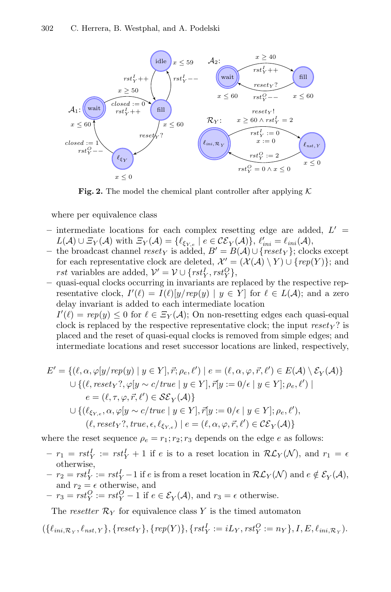

<span id="page-7-0"></span>Fig. 2. The model the chemical plant controller after applying  $K$ 

where per equivalence class

- $-$  intermediate locations for each complex resetting edge are added,  $L' =$  $L(\mathcal{A}) \cup \Xi_Y(\mathcal{A})$  with  $\Xi_Y(\mathcal{A}) = \{ \ell_{\xi_{Y,e}} \mid e \in \mathcal{CE}_Y(\mathcal{A}) \}, \ell'_{ini} = \ell_{ini}(\mathcal{A}),$
- $-$  the broadcast channel *reset*<sub>Y</sub> is added,  $B' = B(A) \cup \{reset_Y\}$ ; clocks except for each representative clock are deleted,  $\mathcal{X}' = (\mathcal{X}(\mathcal{A}) \setminus Y) \cup \{rep(Y)\};$  and  $rst$  variables are added,  $\mathcal{V}' = \mathcal{V} \cup \{rst_Y^I, rst_Y^O\},$
- **–** quasi-equal clocks occurring in invariants are replaced by the respective representative clock,  $I'(\ell) = I(\ell)[y/rep(y) \mid y \in Y]$  for  $\ell \in L(\mathcal{A})$ ; and a zero delay invariant is added to each intermediate location  $I'(\ell) = rep(y) \leq 0$  for  $\ell \in \mathcal{Z}_Y(\mathcal{A})$ ; On non-resetting edges each quasi-equal clock is replaced by the respective representative clock; the input  $reset_Y$ ? is placed and the reset of quasi-equal clocks is removed from simple edges; and intermediate locations and reset successor locations are linked, respectively,

$$
E' = \{ (\ell, \alpha, \varphi[y/rep(y) \mid y \in Y], \vec{r}; \rho_e, \ell') \mid e = (\ell, \alpha, \varphi, \vec{r}, \ell') \in E(\mathcal{A}) \setminus \mathcal{E}_Y(\mathcal{A}) \}
$$
  
\n
$$
\cup \{ (\ell, reset_Y?, \varphi[y \sim c / true \mid y \in Y], \vec{r}[y := 0/\epsilon \mid y \in Y]; \rho_e, \ell') \mid
$$
  
\n
$$
e = (\ell, \tau, \varphi, \vec{r}, \ell') \in \mathcal{SE}_Y(\mathcal{A}) \}
$$
  
\n
$$
\cup \{ (\ell_{\xi_{Y,e}}, \alpha, \varphi[y \sim c / true \mid y \in Y], \vec{r}[y := 0/\epsilon \mid y \in Y]; \rho_e, \ell'),
$$
  
\n
$$
(\ell, reset_Y?, true, \epsilon, \ell_{\xi_{Y,e}}) \mid e = (\ell, \alpha, \varphi, \vec{r}, \ell') \in \mathcal{CE}_Y(\mathcal{A}) \}
$$

where the reset sequence  $\rho_e = r_1; r_2; r_3$  depends on the edge e as follows:

- $r_1 = rst_Y^I := rst_Y^I + 1$  if e is to a reset location in  $\mathcal{RL}_Y(\mathcal{N})$ , and  $r_1 = \epsilon$ otherwise,
- $r_2 = rst_Y^I := rst_Y^I 1$  if e is from a reset location in  $\mathcal{RL}_Y(\mathcal{N})$  and  $e \notin \mathcal{E}_Y(\mathcal{A}),$ and  $r_2 = \epsilon$  otherwise, and
- $r_3 = rst_Y^O := rst_Y^O 1$  if  $e \in \mathcal{E}_Y(\mathcal{A})$ , and  $r_3 = \epsilon$  otherwise.

The *resetter*  $\mathcal{R}_Y$  for equivalence class Y is the timed automaton

$$
(\{\ell_{ini,\mathcal{R}_Y}, \ell_{nst,Y}\}, \{reset_Y\}, \{rep(Y)\}, \{rst_Y^I := iL_Y, rst_Y^O := n_Y\}, I, E, \ell_{ini,\mathcal{R}_Y}).
$$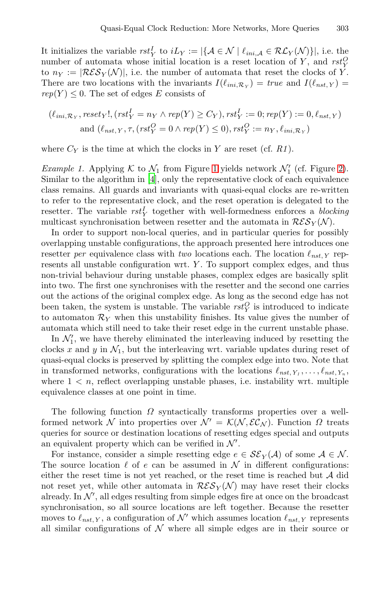It initializes the variable  $rst_Y^I$  to  $iL_Y := |\{ A \in \mathcal{N} \mid \ell_{ini, A} \in \mathcal{RL}_Y(\mathcal{N}) \}|$ , i.e. the number of automata whose initial location is a reset location of  $Y$ , and  $rst_Y^0$ to  $n_Y := |\mathcal{RES}_Y(\mathcal{N})|$ , i.e. the number of automata that reset the clocks of Y. There are two locations [wit](#page-5-0)h the invariants  $I(\ell_{ini,R_y}) = true$  $I(\ell_{ini,R_y}) = true$  $I(\ell_{ini,R_y}) = true$  and  $I(\ell_{nst,y}) =$  $rep(Y) \leq 0$ . The set of edges E consists of

$$
(\ell_{ini,\mathcal{R}_Y},reset_Y!, (rst_Y^I = n_Y \land rep(Y) \ge C_Y), rst_Y^I := 0; rep(Y) := 0, \ell_{nst,Y})
$$
  
and 
$$
(\ell_{nst,Y}, \tau, (rst_Y^O = 0 \land rep(Y) \le 0), rst_Y^O := n_Y, \ell_{ini,\mathcal{R}_Y})
$$

where  $C_Y$  is the time at which the clocks in Y are reset (cf.  $R1$ ).

*Example 1.* Applying  $K$  to  $\mathcal{N}_1$  from Figure 1 yields network  $\mathcal{N}'_1$  (cf. Figure 2). Similar to the algorithm in [4], only the representative clock of each equivalence class remains. All guards and invariants with quasi-equal clocks are re-written to refer to the representative clock, and the reset operation is delegated to the resetter. The variable  $rst<sub>Y</sub><sup>I</sup>$  together with well-formedness enforces a *blocking* multicast synchronisation between resetter and the automata in  $\mathcal{RES}_{Y}(\mathcal{N})$ .

In order to support non-local queries, and in particular queries for possibly overlapping unstable configurations, the approach presented here introduces one resetter *per* equivalence class with *two* locations each. The location  $\ell_{nst,Y}$  represents all unstable configuration wrt.  $Y$ . To support complex edges, and thus non-trivial behaviour during unstable phases, complex edges are basically split into two. The first one synchronises with the resetter and the second one carries out the actions of the original complex edge. As long as the second edge has not been taken, the system is unstable. The variable  $rst_Y^O$  is introduced to indicate to automaton  $\mathcal{R}_Y$  when this unstability finishes. Its value gives the number of automata which still need to take their reset edge in the current unstable phase.

In  $\mathcal{N}'_1$ , we have thereby eliminated the interleaving induced by resetting the clocks x and y in  $\mathcal{N}_1$ , but the interleaving wrt. variable updates during reset of quasi-equal clocks is preserved by splitting the complex edge into two. Note that in transformed networks, configurations with the locations  $\ell_{nst}$ ,  $\ell_1, \ldots, \ell_{nst}$ ,  $\ell_r$ , where  $1 \leq n$ , reflect overlapping unstable phases, i.e. instability wrt. multiple equivalence classes at one point in time.

The following function  $\Omega$  syntactically transforms properties over a wellformed network N into properties over  $\mathcal{N}' = \mathcal{K}(\mathcal{N}, \mathcal{EC}_{\mathcal{N}})$ . Function  $\Omega$  treats queries for source or destination locations of resetting edges special and outputs an equivalent property which can be verified in  $\mathcal{N}'$ .

For instance, consider a simple resetting edge  $e \in \mathcal{SE}_Y(\mathcal{A})$  of some  $\mathcal{A} \in \mathcal{N}$ . The source location  $\ell$  of e can be assumed in  $\mathcal N$  in different configurations: either the reset time is not yet reached, or the reset time is reached but  $A$  did not reset yet, while other automata in  $\mathcal{RES}_{Y}(\mathcal{N})$  may have reset their clocks already. In  $\mathcal{N}'$ , all edges resulting from simple edges fire at once on the broadcast synchronisation, so all source locations are left together. Because the resetter moves to  $\ell_{nst,Y}$ , a configuration of  $\mathcal{N}'$  which assumes location  $\ell_{nst,Y}$  represents all similar configurations of  $N$  where all simple edges are in their source or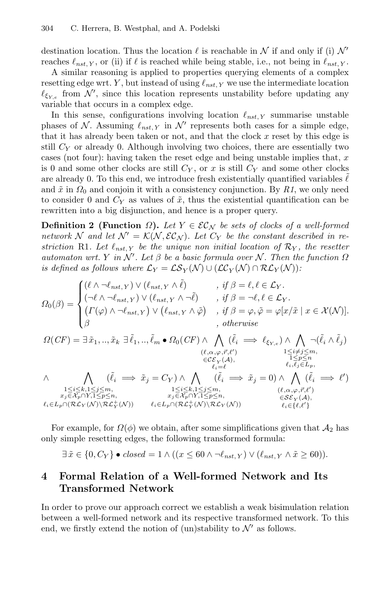destination location. Thus the location  $\ell$  is reachable in N if and only if (i) N' reaches  $\ell_{nst,Y}$ , or (ii) if  $\ell$  is reached while being stable, i.e., not being in  $\ell_{nst,Y}$ .

A similar reasoning is applied to properties querying elements of a complex resetting edge wrt. Y, but instead of using  $\ell_{nst, Y}$  we use the intermediate location  $\ell_{\xi_{Y,e}}$  from  $\mathcal{N}'$ , since this location represents unstability before updating any variable that occurs in a complex edge.

In this sense, configurations involving location  $\ell_{nst,Y}$  summarise unstable phases of N. Assuming  $\ell_{nst,Y}$  in N' represents both cases for a simple edge, that it has already been taken or not, and that the clock  $x$  reset by this edge is still  $C_Y$  or already 0. Although involving two choices, there are essentially two cases (not four): having taken the reset edge and being unstable implies that,  $x$ is 0 and some other clocks are still  $C_Y$ , or x is still  $C_Y$  and some other clocks are already 0. To this end, we introduce fresh existentially quantified variables  $\ell$ and  $\tilde{x}$  in  $\Omega_0$  and conjoin it with a consistency conjunction. By  $R1$ , we only need to consider 0 and  $C_Y$  as values of  $\tilde{x}$ , thus the existential quantification can be rewritten into a big disjunction, and hence is a proper query.

**Definition 2 (Function**  $\Omega$ ). Let  $Y \in \mathcal{EC}_N$  be sets of clocks of a well-formed *network* N and let  $\mathcal{N}' = \mathcal{K}(\mathcal{N}, \mathcal{EC}_\mathcal{N})$ . Let  $C_Y$  be the constant described in re*striction* R1*. Let*  $\ell_{nst,Y}$  *be the unique non initial location of*  $\mathcal{R}_Y$ *, the resetter*  $a$ utomaton wrt. Y *in*  $\mathcal{N}'$ . Let  $\beta$  *be a basic formula over*  $\mathcal{N}$ . Then the function  $\Omega$ *is defined as follows where*  $\mathcal{L}_Y = \mathcal{L}S_Y(\mathcal{N}) \cup (\mathcal{L}C_Y(\mathcal{N}) \cap \mathcal{R} \mathcal{L}_Y(\mathcal{N}))$ :

$$
\Omega_0(\beta) = \begin{cases}\n(\ell \wedge \neg \ell_{nst,Y}) \vee (\ell_{nst,Y} \wedge \tilde{\ell}) & , \text{ if } \beta = \ell, \ell \in \mathcal{L}_Y. \\
(\neg \ell \wedge \neg \ell_{nst,Y}) \vee (\ell_{nst,Y} \wedge \neg \tilde{\ell}) & , \text{ if } \beta = \neg \ell, \ell \in \mathcal{L}_Y. \\
(\Gamma(\varphi) \wedge \neg \ell_{nst,Y}) \vee (\ell_{nst,Y} \wedge \tilde{\varphi}) & , \text{ if } \beta = \varphi, \tilde{\varphi} = \varphi[x/\tilde{x} \mid x \in \mathcal{X}(\mathcal{N})]. \\
\beta & , \text{ otherwise}\n\end{cases}
$$

$$
\Omega(CF) = \exists \tilde{x}_1, ..., \tilde{x}_k \ \exists \tilde{\ell}_1, ..., \tilde{\ell}_m \bullet \Omega_0(CF) \land \bigwedge_{\substack{(\ell, \alpha, \varphi, \vec{r}, \ell') \\ \in \mathcal{C}\mathcal{E}_Y(\mathcal{A})}} (\tilde{\ell}_i \implies \ell_{\xi_{Y,e}}) \land \bigwedge_{\substack{1 \leq i \neq j \leq m, \\ 1 \leq p \leq n, \\ \ell_i, \ell_j \in L_p, \\ x_j \in \mathcal{X}_p \cap Y, 1 \leq p \leq n, \\ \ell_i \in L_p \cap (\mathcal{R} \mathcal{L}_Y(\mathcal{N})) \backslash \mathcal{R} \mathcal{L}_Y^{\star}(\mathcal{N}))}} (\tilde{\ell}_i \implies \tilde{x}_j = C_Y) \land \bigwedge_{\substack{1 \leq i \leq k, 1 \leq j \leq m, \\ \ell_i \in \mathcal{X}_p \cap Y, 1 \leq p \leq n, \\ x_j \in \mathcal{X}_p \cap Y, 1 \leq p \leq n, \\ \ell_i \in L_p \cap (\mathcal{R} \mathcal{L}_Y(\mathcal{N})) \backslash \mathcal{R} \mathcal{L}_Y^{\star}(\mathcal{N}))}} (\tilde{\ell}_i \implies \tilde{x}_j = 0) \land \bigwedge_{\substack{1 \leq i \leq k, 1 \leq j \leq m, \\ \ell_i \in \mathcal{E}_Y(\mathcal{A}), \\ \ell_i \in L_p \cap (\mathcal{R} \mathcal{L}_Y(\mathcal{N})) \backslash \mathcal{R} \mathcal{L}_Y^{\star}(\mathcal{N}))}} (\tilde{\ell}_i \implies \ell')
$$

For example, for  $\Omega(\phi)$  we obtain, after some simplifications given that  $\mathcal{A}_2$  has only simple resetting edges, the following transformed formula:

<span id="page-9-0"></span>
$$
\exists \tilde{x} \in \{0, C_Y\} \bullet \ closed = 1 \land ((x \leq 60 \land \neg \ell_{nst, Y}) \lor (\ell_{nst, Y} \land \tilde{x} \geq 60)).
$$

# **4 Formal Relation of a Well-formed Network and Its Transformed Network**

In order to prove our approach correct we establish a weak bisimulation relation between a well-formed network and its respective transformed network. To this end, we firstly extend the notion of (un)stability to  $\mathcal{N}'$  as follows.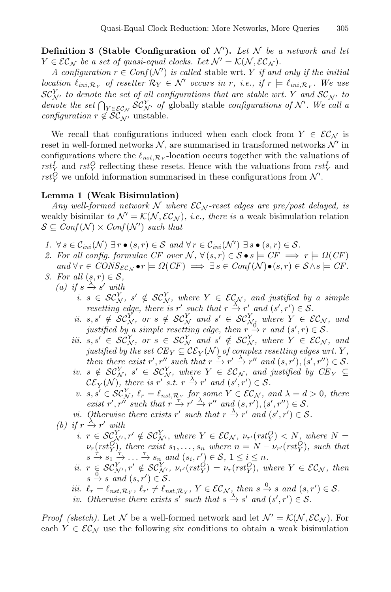**Definition 3 (Stable Configuration of** N'). Let N be a network and let  $Y \in \mathcal{EC}_\mathcal{N}$  *be a set of quasi-equal clocks. Let*  $\mathcal{N}' = \mathcal{K}(\mathcal{N}, \mathcal{EC}_\mathcal{N})$ *.* 

*A configuration*  $r \in Conf(\mathcal{N}')$  *is called* stable wrt. Y *if and only if the initial location*  $\ell_{ini,\mathcal{R}_Y}$  *of resetter*  $\mathcal{R}_Y \in \mathcal{N}'$  *occurs in* r, *i.e., if*  $r \models \ell_{ini,\mathcal{R}_Y}$ *. We use*  $SC_N^Y$ , to denote the set of all configurations that are stable wrt. Y and  $SC_{N'}$  to denote the set  $\bigcap_{Y \in \mathcal{EC}_N} \mathcal{SC}_{N'}^Y$  of globally stable *configurations of* N'. We call a *configuration*  $r \notin \overline{SC_{\mathcal{N}'}}$  unstable.

<span id="page-10-0"></span>We recall that configurations induced when each clock from  $Y \in \mathcal{EC}_N$  is reset in well-formed networks  $N$ , are summarised in transformed networks  $N'$  in configurations where the  $\ell_{nst,R_V}$ -location occurs together with the valuations of  $rst_Y^I$  and  $rst_Y^O$  reflecting these resets. Hence with the valuations from  $rst_Y^I$  and  $rst_Y^O$  we unfold information summarised in these configurations from  $\mathcal{N}'$ .

### **Lemma 1 (Weak Bisimulation)**

*Any well-formed network* N *where*  $\mathcal{EC}_N$ -reset edges are pre/post delayed, is weakly bisimilar *to*  $\mathcal{N}' = \mathcal{K}(\mathcal{N}, \mathcal{EC}_\mathcal{N})$ *, i.e., there is a* weak bisimulation relation  $S \subseteq Conf(N) \times Conf(N')$  such that

- *1.*  $\forall s \in C_{ini}(\mathcal{N}) \exists r \bullet (s, r) \in \mathcal{S} \text{ and } \forall r \in C_{ini}(\mathcal{N}^{\prime}) \exists s \bullet (s, r) \in \mathcal{S}.$
- 2. For all config. formulae  $CF$  over  $\mathcal{N}, \forall (s, r) \in \mathcal{S} \bullet s \models CF \implies r \models \Omega(CF)$  $\text{and }\forall r \in \text{CONS}_{\mathcal{EC}_\mathcal{N}} \bullet r \models \Omega(CF) \implies \exists s \in \text{Conf}(\mathcal{N}) \bullet (s, r) \in \mathcal{S} \land s \models \text{CF}.$
- *3. For all*  $(s, r) \in S$ *,*  $(a)$  if  $s \stackrel{\lambda}{\rightarrow} s'$  with
	- *i.*  $s \in \mathcal{SC}_N^Y$ ,  $s' \notin \mathcal{SC}_N^Y$ , where  $Y \in \mathcal{EC}_N$ , and justified by a simple *resetting edge, there is* r' *such that*  $r \xrightarrow{\lambda} r'$  *and*  $(s', r') \in \mathcal{S}$ .
	- *ii.*  $s, s' \notin \mathcal{SC}_{\mathcal{N}}^{\mathcal{Y}},$  or  $s \notin \mathcal{SC}_{\mathcal{N}}^{\mathcal{Y}}$  and  $s' \in \mathcal{SC}_{\mathcal{N}_0}^{\mathcal{Y}}$  where  $Y \in \mathcal{EC}_{\mathcal{N}}$ , and justified by a simple resetting edge, then  $r \to r$  and  $(s', r) \in \mathcal{S}$ .
	- *iii.*  $s, s' \in \mathcal{SC}_N^Y$ , or  $s \in \mathcal{SC}_N^Y$  and  $s' \notin \mathcal{SC}_N^Y$ , where  $Y \in \mathcal{EC}_N$ , and *justified by the set*  $CE_Y \subseteq \mathcal{CE}_Y(\mathcal{N})$  *of complex resetting edges wrt.* Y, *then there exist*  $r', r''$  *such that*  $r \stackrel{\tau}{\rightarrow} r' \stackrel{\lambda}{\rightarrow} r''$  *and*  $(s, r'), (s', r'') \in S$ .
	- *iv.*  $s \notin \mathcal{SC}_{\mathcal{N}}^Y$ ,  $s' \in \mathcal{SC}_{\mathcal{N}}^Y$ , where  $Y \in \mathcal{EC}_{\mathcal{N}}$ , and justified by  $CE_Y \subseteq$  $CE<sub>Y</sub>(N)$ , there is r' s.t.  $r \stackrel{\lambda}{\rightarrow} r'$  and  $(s', r') \in S$ .
	- *v.*  $s, s' \in \mathcal{SC}_{\mathcal{N}}^Y$ ,  $\ell_r = \ell_{nst, \mathcal{R}_Y}$  for some  $Y \in \mathcal{EC}_{\mathcal{N}}$ , and  $\lambda = d > 0$ , there exist r', r'' such that  $r \stackrel{\tau}{\rightarrow} r' \stackrel{\lambda}{\rightarrow} r''$  and  $(s, r')$ ,  $(s', r'') \in \mathcal{S}$ .
	- *vi.* Otherwise there exists r' such that  $r \stackrel{\lambda}{\to} r'$  and  $(s', r') \in S$ .

(b) if 
$$
r \xrightarrow{\lambda} r'
$$
 with

- *i.*  $r \in \mathcal{SC}_{\mathcal{N}'}^Y, r' \notin \mathcal{SC}_{\mathcal{N}'}^Y$ , where  $Y \in \mathcal{EC}_\mathcal{N}, \nu_{r'}(rst_Y^O) < N$ , where  $N =$  $v_r$ (*rst* $\Omega$ )<sub>*,*</sub> there exist s<sub>1</sub>,..., s<sub>n</sub> where  $n = N - v_{r'}(rst_{\Omega}^{\Omega})$ , such that  $s \stackrel{\hat{\tau}}{\rightarrow} s_1 \stackrel{\hat{\tau}}{\rightarrow} \ldots \stackrel{\tau}{\rightarrow} s_n$  and  $(s_i, r') \in S$ ,  $1 \leq i \leq n$ .
- *ii.*  $r \in \mathcal{SC}_{\mathcal{N}'}^Y, r' \notin \mathcal{SC}_{\mathcal{N}'}^Y, \nu_{r'}(rst_Y^{\bullet}) = \nu_r(rst_Y^{\bullet}),$  where  $Y \in \mathcal{EC}_\mathcal{N}$ , then  $s \xrightarrow{0} s$  *and*  $(s, r') \in S$ .
- *iii.*  $\ell_r = \ell_{nst, \mathcal{R}_Y}, \ell_{r'} \neq \ell_{nst, \mathcal{R}_Y}, Y \in \mathcal{EC}_N$ , then  $s \stackrel{0}{\rightarrow} s$  and  $(s, r') \in \mathcal{S}$ . *iv.* Otherwise there exists s' such that  $s \rightarrow s'$  and  $(s', r') \in S$ .

*Proof (sketch)*. Let N be a well-formed network and let  $\mathcal{N}' = \mathcal{K}(\mathcal{N}, \mathcal{EC}_{\mathcal{N}})$ . For each  $Y \in \mathcal{EC}_\mathcal{N}$  use the following six conditions to obtain a weak bisimulation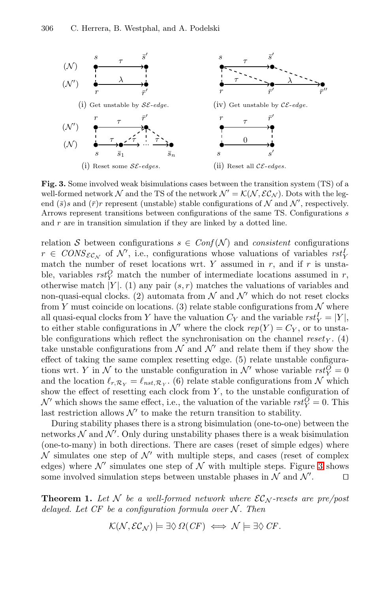<span id="page-11-0"></span>

**Fig. 3.** Some involved weak bisimulations cases between the transition system (TS) of a well-formed network  $\mathcal{N}$  and the TS of the network  $\mathcal{N}' = \mathcal{K}(\mathcal{N}, \mathcal{EC}_{\mathcal{N}})$ . Dots with the legend  $(\bar{s})s$  and  $(\bar{r})r$  represent (unstable) stable configurations of  $N$  and  $N'$ , respectively. Arrows represent transitions between configurations of the same TS. Configurations s and r are in transition simulation if they are linked by a dotted line.

relation S between configurations  $s \in \text{Conf}(\mathcal{N})$  and *consistent* configurations  $r \in \text{CONS}_{\mathcal{EC}_\mathcal{N}}$  of  $\mathcal{N}'$ , i.e., configurations whose valuations of variables  $rst_Y^I$ match the number of reset locations wrt. Y assumed in  $r$ , and if  $r$  is unstable, variables  $rst_Y^O$  match the number of intermediate locations assumed in  $r$ , otherwise match |Y|. (1) any pair  $(s, r)$  matches the valuations of variables and non-quasi-equal clocks. (2) automata from  $\mathcal N$  and  $\mathcal N'$  which do not reset clocks from Y must coincide on locations. (3) relate stable configurations from  $\mathcal N$  where all quasi-equal clocks from Y have the valuation  $C_Y$  and the variable  $rst_Y^I = |Y|$ , to either stable configurations in  $\mathcal{N}'$  where the clock  $rep(Y) = C_Y$ , or to unstable configurations which reflect the synchronisation on the channel  $reset_Y$ . (4) take unstable configurations from  $\mathcal N$  and  $\mathcal N'$  and relate them if they show the effect of taking the same complex resetting edge. (5) relate unstable configurations wrt. Y in N to the unstable configuration in N' whose variable  $rst_Y^O = 0$ and the location  $\ell_{r,\mathcal{R}_Y} = \ell_{nst,\mathcal{R}_Y}$ . (6) relate stable co[nfi](#page-11-0)gurations from N which show the effect of resetting each clock from  $Y$ , to the unstable configuration of  $\mathcal{N}'$  which shows the same effect, i.e., the valuation of the variable  $rst_Y^O = 0$ . This last restriction allows  $\mathcal{N}'$  to make the return transition to stability.

During stability phases there is a strong bisimulation (one-to-one) between the networks  $\mathcal N$  and  $\mathcal N'$ . Only during unstability phases there is a weak bisimulation (one-to-many) in both directions. There are cases (reset of simple edges) where  $\mathcal N$  simulates one step of  $\mathcal N'$  with multiple steps, and cases (reset of complex edges) where  $\mathcal{N}'$  simulates one step of  $\mathcal N$  with multiple steps. Figure 3 shows some involved simulation steps between unstable phases in  $\mathcal N$  and  $\mathcal N'$ . .

**Theorem 1.** Let N be a well-formed network where  $\mathcal{EC}_N$ -resets are pre/post *delayed. Let CF be a configuration formula over* N. Then

$$
\mathcal{K}(\mathcal{N}, \mathcal{EC}_\mathcal{N}) \models \exists \Diamond \ \Omega(CF) \iff \mathcal{N} \models \exists \Diamond \ CF.
$$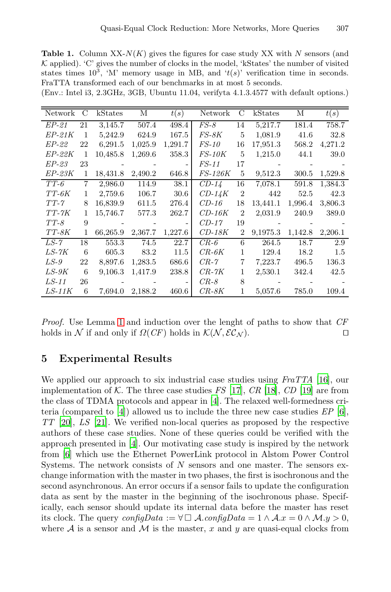**Table 1.** Column  $XX-N(K)$  gives the figures for case study XX with N sensors (and  ${\mathcal K}$  applied). 'C' gives the number of clocks in the model, 'kStates' the number of visited states times  $10^3$ , 'M' memory usage in MB, and ' $t(s)$ ' verification time in seconds. FraTTA transformed each of our benchmarks in at most 5 seconds.

(Env.: Intel i3, 2.3GHz, 3GB, Ubuntu 11.04, verifyta 4.1.3.4577 with default options.)

<span id="page-12-0"></span>

| Network     | C              | kStates  | М       | t(s)    | Network        | С                           | kStates  | М       | t(s)    |
|-------------|----------------|----------|---------|---------|----------------|-----------------------------|----------|---------|---------|
| EP-21       | 21             | 3,145.7  | 507.4   | 498.4   | FS-8           | 14                          | 5,217.7  | 181.4   | 758.7   |
| $EP-21K$    | $\overline{1}$ | 5,242.9  | 624.9   | 167.5   | FS-8K          | 5                           | 1,081.9  | 41.6    | 32.8    |
| $EP-22$     | 22             | 6,291.5  | 1,025.9 | 1,291.7 | $FS-10$        | 16                          | 17,951.3 | 568.2   | 4,271.2 |
| $EP-22K$    | $\mathbf{1}$   | 10,485.8 | 1,269.6 | 358.3   | $FS-10K$       | 5                           | 1,215.0  | 44.1    | 39.0    |
| EP-23       | 23             |          |         | ÷       | FS-11          | 17                          |          |         |         |
| $EP-23K$    | 1              | 18,431.8 | 2,490.2 | 646.8   | <i>FS-126K</i> | 5                           | 9,512.3  | 300.5   | 1,529.8 |
| $TT-6$      | $\overline{7}$ | 2,986.0  | 114.9   | 38.1    | $CD-14$        | 16                          | 7,078.1  | 591.8   | 1,384.3 |
| $TT$ - $6K$ | 1              | 2,759.6  | 106.7   | 30.6    | $CD-14K$       | $\overline{2}$              | 442      | 52.5    | 42.3    |
| $TT-7$      | 8              | 16,839.9 | 611.5   | 276.4   | $CD-16$        | 18                          | 13,441.1 | 1,996.4 | 3,806.3 |
| $TT$ -7 $K$ |                | 15,746.7 | 577.3   | 262.7   | $CD-16K$       | $\mathcal{D}_{\mathcal{L}}$ | 2,031.9  | 240.9   | 389.0   |
| $TT-8$      | 9              |          |         |         | $CD-17$        | 19                          |          |         |         |
| $TT$ -8 $K$ | 1              | 66,265.9 | 2,367.7 | 1,227.6 | $CD-18K$       | 2                           | 9,1975.3 | 1,142.8 | 2,206.1 |
| $LS-7$      | 18             | 553.3    | 74.5    | 22.7    | $CR$ -6        | 6                           | 264.5    | 18.7    | 2.9     |
| $LS$ -7 $K$ | 6              | 605.3    | 83.2    | 11.5    | $CR$ -6 $K$    | 1                           | 129.4    | 18.2    | 1.5     |
| $LS-9$      | 22             | 8,897.6  | 1,283.5 | 686.6   | $CR-7$         | 7                           | 7,223.7  | 496.5   | 136.3   |
| $LS$ -9 $K$ | 6              | 9,106.3  | 1,417.9 | 238.8   | $CR$ -7 $K$    | 1                           | 2,530.1  | 342.4   | 42.5    |
| $LS-11$     | 26             |          |         |         | $CR-8$         | 8                           |          |         |         |
| $LS-11K$    | 6              | 7.694.0  | 2,188.2 | 460.6   | $CR$ -8 $K$    | 1                           | 5,057.6  | 785.0   | 109.4   |

*Proof.* Use Lemma 1 and [in](#page-14-1)duction over the lenght of pa[th](#page-14-3)s to show that *CF* h[old](#page-14-1)s in N if and only if  $\Omega(CF)$  holds in  $\mathcal{K}(\mathcal{N}, \mathcal{EC}_{\mathcal{N}})$ .

# **5 [E](#page-14-1)xperimental Results**

We applied our approach to six industrial case studies using *FraTTA* [16], our implementation of  $K$ . The three case studies *FS* [17], *CR* [18], *CD* [19] are from the class of TDMA protocols and appear in [4]. The relaxed well-formedness criteria (compared to [4]) allowed us to include the three new case studies *EP* [6], *TT* [20], *LS* [21]. We verified non-local queries as proposed by the respective authors of these case studies. None of these queries could be verified with the approach presented in [4]. Our motivating case study is inspired by the network from [6] which use the Ethernet PowerLink protocol in Alstom Power Control Systems. The network consists of  $N$  sensors and one master. The sensors exchange information with the master in two phases, the first is isochronous and the second asynchronous. An error occurs if a sensor fails to update the configuration data as sent by the master in the beginning of the isochronous phase. Specifically, each sensor should update its internal data before the master has reset its clock. The query  $\mathit{configData} := \forall \Box \mathcal{A}.\mathit{configData} = 1 \land \mathcal{A}.x = 0 \land \mathcal{M}.y > 0,$ where  $A$  is a sensor and  $M$  is the master, x and y are quasi-equal clocks from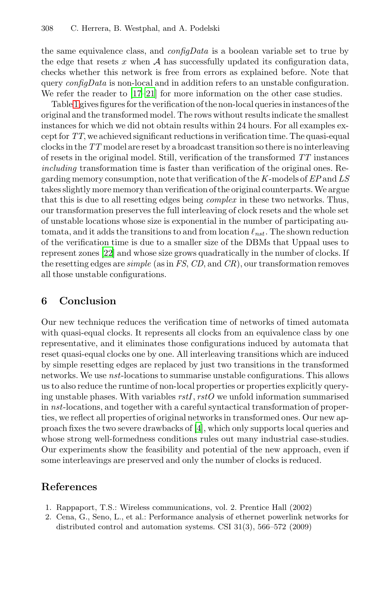the same equivalence class, and *configData* is a boolean variable set to true by the edge that resets x when  $A$  has successfully updated its configuration data, checks whether this network is free from errors as explained before. Note that query *configData* is non-local and in addition refers to an unstable configuration. We refer the reader to [17–21] for more information on the other case studies.

<span id="page-13-2"></span>Table 1 gives figures for the verification of the non-local queries in instances of the original and the transformed model. The rows without results indicate the smallest instances for which we did not obtain results within 24 hours. For all examples except for *TT*, we achieved significant reductions in verification time. The quasi-equal clocks in the *TT* model are reset by a broadcast transition so there is no interleaving of resets in the original model. Still, verification of the transformed *TT* instances *[i](#page-14-10)ncluding* transformation time is faster than verification of the original ones. Regarding memory consumption, note that verification of the *K*-models of*EP* and *LS* takes slightly more memory than verification of the original counterparts.We argue that this is due to all resetting edges being *complex* in these two networks. Thus, our transformation preserves the full interleaving of clock resets and the whole set of unstable locations whose size is exponential in the number of participating automata, and it adds the transitions to and from location  $\ell_{nst}$ . The shown reduction of the verification time is due to a smaller size of the DBMs that Uppaal uses to represent zones [22] and whose size grows quadratically in the number of clocks. If the resetting edges are *simple* (as in *FS*, *CD*, and *CR*), our transformation removes all those unstable configurations.

# **6 Conclusion**

<span id="page-13-1"></span><span id="page-13-0"></span>Our new technique reduces the verification time of networks of timed automata with quasi-equal clocks. It represents all clocks from an equivalence class by one representative, and it [el](#page-14-1)iminates those configurations induced by automata that reset quasi-equal clocks one by one. All interleaving transitions which are induced by simple resetting edges are replaced by just two transitions in the transformed networks. We use *nst*-locations to summarise unstable configurations. This allows us to also reduce the runtime of non-local properties or properties explicitly querying unstable phases. With variables *rstI*, *rstO* we unfold information summarised in *nst*-locations, and together with a careful syntactical transformation of properties, we reflect all properties of original networks in transformed ones. Our new approach fixes the two severe drawbacks of [4], which only supports local queries and whose strong well-formedness conditions rules out many industrial case-studies. Our experiments show the feasibility and potential of the new approach, even if some interleavings are preserved and only the number of clocks is reduced.

## **References**

- 1. Rappaport, T.S.: Wireless communications, vol. 2. Prentice Hall (2002)
- 2. Cena, G., Seno, L., et al.: Performance analysis of ethernet powerlink networks for distributed control and automation systems. CSI 31(3), 566–572 (2009)